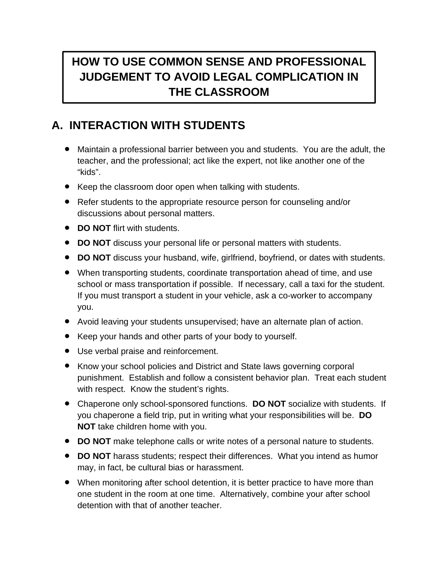## **HOW TO USE COMMON SENSE AND PROFESSIONAL JUDGEMENT TO AVOID LEGAL COMPLICATION IN THE CLASSROOM**

## **A. INTERACTION WITH STUDENTS**

- Maintain a professional barrier between you and students. You are the adult, the teacher, and the professional; act like the expert, not like another one of the "kids".
- Keep the classroom door open when talking with students.
- Refer students to the appropriate resource person for counseling and/or discussions about personal matters.
- **DO NOT** flirt with students.
- **DO NOT** discuss your personal life or personal matters with students.
- **DO NOT** discuss your husband, wife, girlfriend, boyfriend, or dates with students.
- When transporting students, coordinate transportation ahead of time, and use school or mass transportation if possible. If necessary, call a taxi for the student. If you must transport a student in your vehicle, ask a co-worker to accompany you.
- Avoid leaving your students unsupervised; have an alternate plan of action.
- Keep your hands and other parts of your body to yourself.
- Use verbal praise and reinforcement.
- Know your school policies and District and State laws governing corporal punishment. Establish and follow a consistent behavior plan. Treat each student with respect. Know the student's rights.
- Chaperone only school-sponsored functions. **DO NOT** socialize with students. If you chaperone a field trip, put in writing what your responsibilities will be. **DO NOT** take children home with you.
- **DO NOT** make telephone calls or write notes of a personal nature to students.
- **DO NOT** harass students; respect their differences. What you intend as humor may, in fact, be cultural bias or harassment.
- When monitoring after school detention, it is better practice to have more than one student in the room at one time. Alternatively, combine your after school detention with that of another teacher.